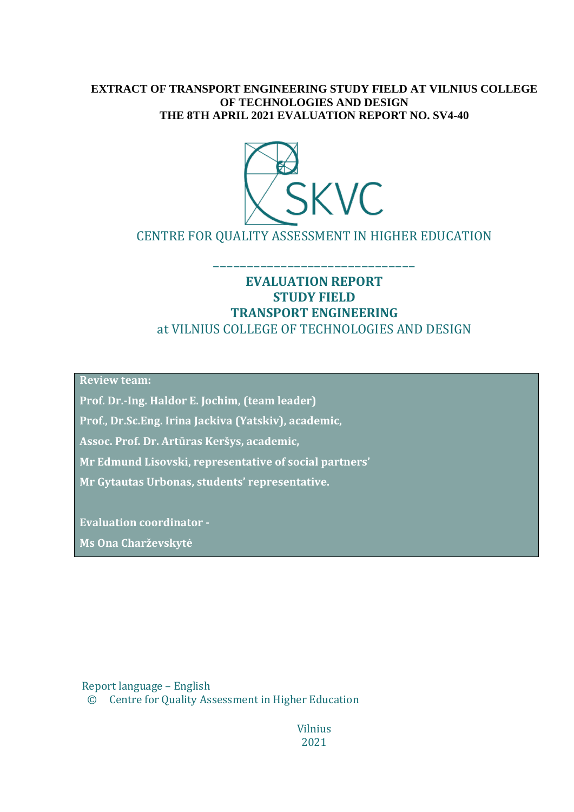### **EXTRACT OF TRANSPORT ENGINEERING STUDY FIELD AT VILNIUS COLLEGE OF TECHNOLOGIES AND DESIGN THE 8TH APRIL 2021 EVALUATION REPORT NO. SV4-40**



CENTRE FOR QUALITY ASSESSMENT IN HIGHER EDUCATION

––––––––––––––––––––––––––––––

### **EVALUATION REPORT STUDY FIELD TRANSPORT ENGINEERING** at VILNIUS COLLEGE OF TECHNOLOGIES AND DESIGN

**Review team:** 

**Prof. Dr.-Ing. Haldor E. Jochim, (team leader)** 

**Prof., Dr.Sc.Eng. Irina Jackiva (Yatskiv), academic,**

**Assoc. Prof. Dr. Artūras Keršys, academic,**

**Mr Edmund Lisovski, representative of social partners'** 

**Mr Gytautas Urbonas, students' representative.**

**Evaluation coordinator - Ms Ona Charževskytė**

Report language – English

© Centre for Quality Assessment in Higher Education

Vilnius 2021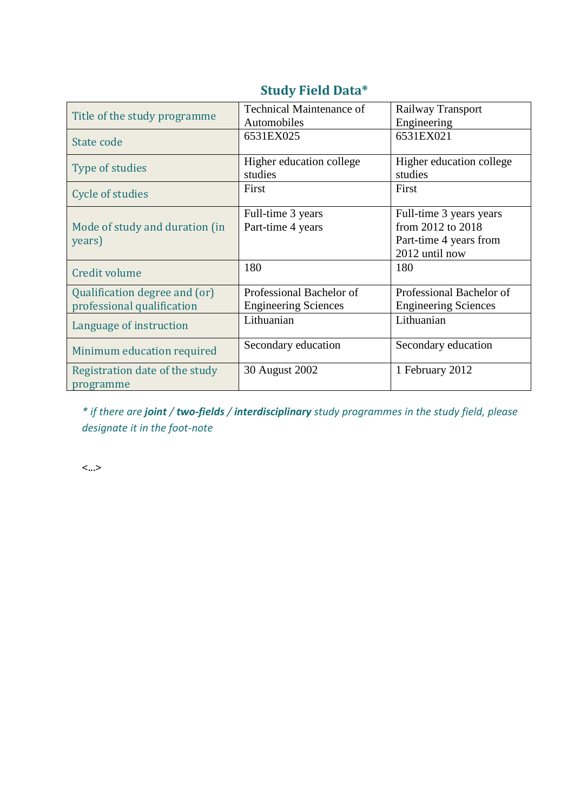| Title of the study programme                                | <b>Technical Maintenance of</b><br>Automobiles          | Railway Transport<br>Engineering                                                         |
|-------------------------------------------------------------|---------------------------------------------------------|------------------------------------------------------------------------------------------|
| State code                                                  | 6531EX025                                               | 6531EX021                                                                                |
| Type of studies                                             | Higher education college<br>studies                     | Higher education college<br>studies                                                      |
| Cycle of studies                                            | First                                                   | First                                                                                    |
| Mode of study and duration (in<br>years)                    | Full-time 3 years<br>Part-time 4 years                  | Full-time 3 years years<br>from 2012 to 2018<br>Part-time 4 years from<br>2012 until now |
| <b>Credit volume</b>                                        | 180                                                     | 180                                                                                      |
| Qualification degree and (or)<br>professional qualification | Professional Bachelor of<br><b>Engineering Sciences</b> | Professional Bachelor of<br><b>Engineering Sciences</b>                                  |
| Language of instruction                                     | Lithuanian                                              | Lithuanian                                                                               |
| Minimum education required                                  | Secondary education                                     | Secondary education                                                                      |
| Registration date of the study<br>programme                 | 30 August 2002                                          | 1 February 2012                                                                          |

## **Study Field Data\***

*\* if there are joint / two-fields / interdisciplinary study programmes in the study field, please designate it in the foot-note*

<...>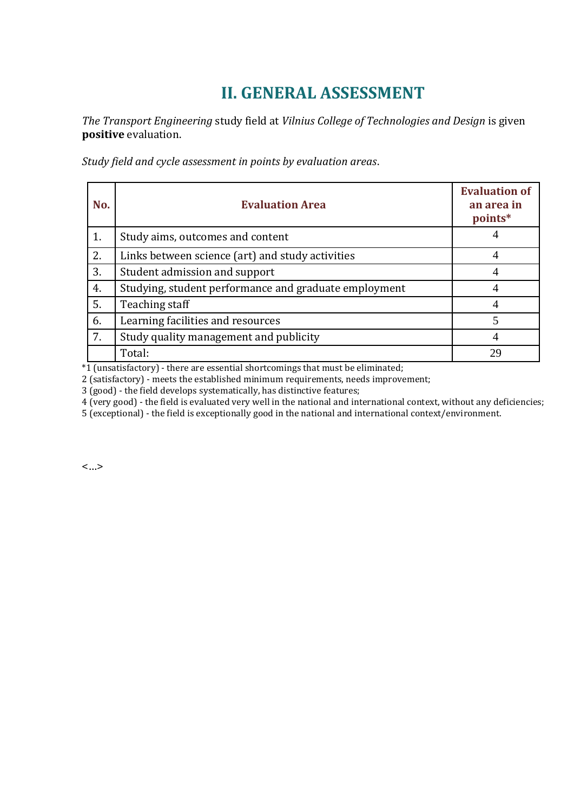# **II. GENERAL ASSESSMENT**

*The Transport Engineering* study field at *Vilnius College of Technologies and Design* is given **positive** evaluation.

*Study field and cycle assessment in points by evaluation areas*.

| No. | <b>Evaluation Area</b>                                | <b>Evaluation of</b><br>an area in<br>points* |
|-----|-------------------------------------------------------|-----------------------------------------------|
| 1.  | Study aims, outcomes and content                      |                                               |
| 2.  | Links between science (art) and study activities      |                                               |
| 3.  | Student admission and support                         | 4                                             |
| 4.  | Studying, student performance and graduate employment |                                               |
| 5.  | Teaching staff                                        |                                               |
| 6.  | Learning facilities and resources                     | 5                                             |
| 7.  | Study quality management and publicity                |                                               |
|     | Total:                                                | 29                                            |

 $*1$  (unsatisfactory) - there are essential shortcomings that must be eliminated;

2 (satisfactory) - meets the established minimum requirements, needs improvement;

3 (good) - the field develops systematically, has distinctive features;

4 (very good) - the field is evaluated very well in the national and international context, without any deficiencies;

5 (exceptional) - the field is exceptionally good in the national and international context/environment.

<…>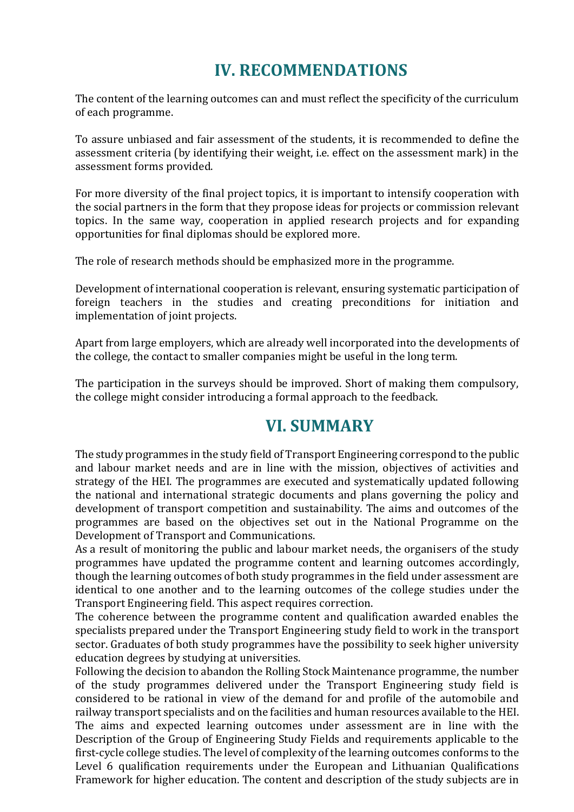# **IV. RECOMMENDATIONS**

The content of the learning outcomes can and must reflect the specificity of the curriculum of each programme.

To assure unbiased and fair assessment of the students, it is recommended to define the assessment criteria (by identifying their weight, i.e. effect on the assessment mark) in the assessment forms provided.

For more diversity of the final project topics, it is important to intensify cooperation with the social partners in the form that they propose ideas for projects or commission relevant topics. In the same way, cooperation in applied research projects and for expanding opportunities for final diplomas should be explored more.

The role of research methods should be emphasized more in the programme.

Development of international cooperation is relevant, ensuring systematic participation of foreign teachers in the studies and creating preconditions for initiation and implementation of joint projects.

Apart from large employers, which are already well incorporated into the developments of the college, the contact to smaller companies might be useful in the long term.

The participation in the surveys should be improved. Short of making them compulsory, the college might consider introducing a formal approach to the feedback.

## **VI. SUMMARY**

The study programmes in the study field of Transport Engineering correspond to the public and labour market needs and are in line with the mission, objectives of activities and strategy of the HEI. The programmes are executed and systematically updated following the national and international strategic documents and plans governing the policy and development of transport competition and sustainability. The aims and outcomes of the programmes are based on the objectives set out in the National Programme on the Development of Transport and Communications.

As a result of monitoring the public and labour market needs, the organisers of the study programmes have updated the programme content and learning outcomes accordingly, though the learning outcomes of both study programmes in the field under assessment are identical to one another and to the learning outcomes of the college studies under the Transport Engineering field. This aspect requires correction.

The coherence between the programme content and qualification awarded enables the specialists prepared under the Transport Engineering study field to work in the transport sector. Graduates of both study programmes have the possibility to seek higher university education degrees by studying at universities.

Following the decision to abandon the Rolling Stock Maintenance programme, the number of the study programmes delivered under the Transport Engineering study field is considered to be rational in view of the demand for and profile of the automobile and railway transport specialists and on the facilities and human resources available to the HEI. The aims and expected learning outcomes under assessment are in line with the Description of the Group of Engineering Study Fields and requirements applicable to the first-cycle college studies. The level of complexity of the learning outcomes conforms to the Level 6 qualification requirements under the European and Lithuanian Qualifications Framework for higher education. The content and description of the study subjects are in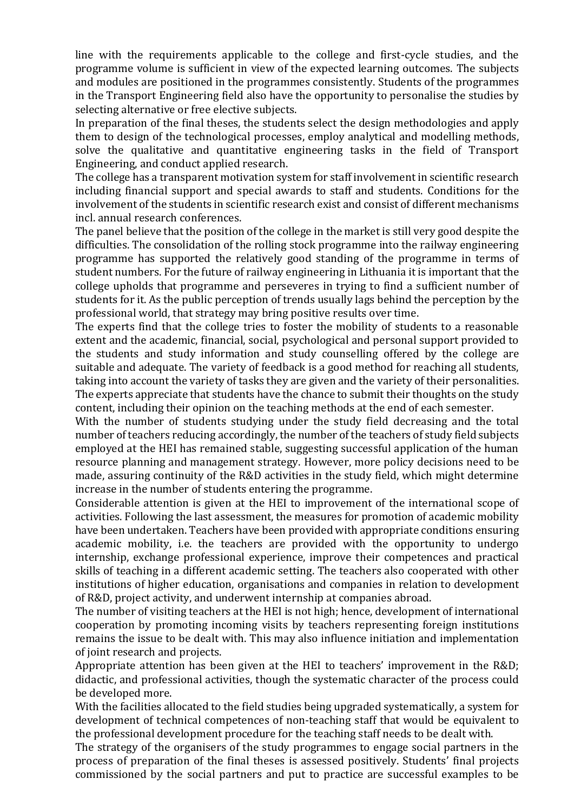line with the requirements applicable to the college and first-cycle studies, and the programme volume is sufficient in view of the expected learning outcomes. The subjects and modules are positioned in the programmes consistently. Students of the programmes in the Transport Engineering field also have the opportunity to personalise the studies by selecting alternative or free elective subjects.

In preparation of the final theses, the students select the design methodologies and apply them to design of the technological processes, employ analytical and modelling methods, solve the qualitative and quantitative engineering tasks in the field of Transport Engineering, and conduct applied research.

The college has a transparent motivation system for staff involvement in scientific research including financial support and special awards to staff and students. Conditions for the involvement of the students in scientific research exist and consist of different mechanisms incl. annual research conferences.

The panel believe that the position of the college in the market is still very good despite the difficulties. The consolidation of the rolling stock programme into the railway engineering programme has supported the relatively good standing of the programme in terms of student numbers. For the future of railway engineering in Lithuania it is important that the college upholds that programme and perseveres in trying to find a sufficient number of students for it. As the public perception of trends usually lags behind the perception by the professional world, that strategy may bring positive results over time.

The experts find that the college tries to foster the mobility of students to a reasonable extent and the academic, financial, social, psychological and personal support provided to the students and study information and study counselling offered by the college are suitable and adequate. The variety of feedback is a good method for reaching all students, taking into account the variety of tasks they are given and the variety of their personalities. The experts appreciate that students have the chance to submit their thoughts on the study content, including their opinion on the teaching methods at the end of each semester.

With the number of students studying under the study field decreasing and the total number of teachers reducing accordingly, the number of the teachers of study field subjects employed at the HEI has remained stable, suggesting successful application of the human resource planning and management strategy. However, more policy decisions need to be made, assuring continuity of the R&D activities in the study field, which might determine increase in the number of students entering the programme.

Considerable attention is given at the HEI to improvement of the international scope of activities. Following the last assessment, the measures for promotion of academic mobility have been undertaken. Teachers have been provided with appropriate conditions ensuring academic mobility, i.e. the teachers are provided with the opportunity to undergo internship, exchange professional experience, improve their competences and practical skills of teaching in a different academic setting. The teachers also cooperated with other institutions of higher education, organisations and companies in relation to development of R&D, project activity, and underwent internship at companies abroad.

The number of visiting teachers at the HEI is not high; hence, development of international cooperation by promoting incoming visits by teachers representing foreign institutions remains the issue to be dealt with. This may also influence initiation and implementation of joint research and projects.

Appropriate attention has been given at the HEI to teachers' improvement in the R&D; didactic, and professional activities, though the systematic character of the process could be developed more.

With the facilities allocated to the field studies being upgraded systematically, a system for development of technical competences of non-teaching staff that would be equivalent to the professional development procedure for the teaching staff needs to be dealt with.

The strategy of the organisers of the study programmes to engage social partners in the process of preparation of the final theses is assessed positively. Students' final projects commissioned by the social partners and put to practice are successful examples to be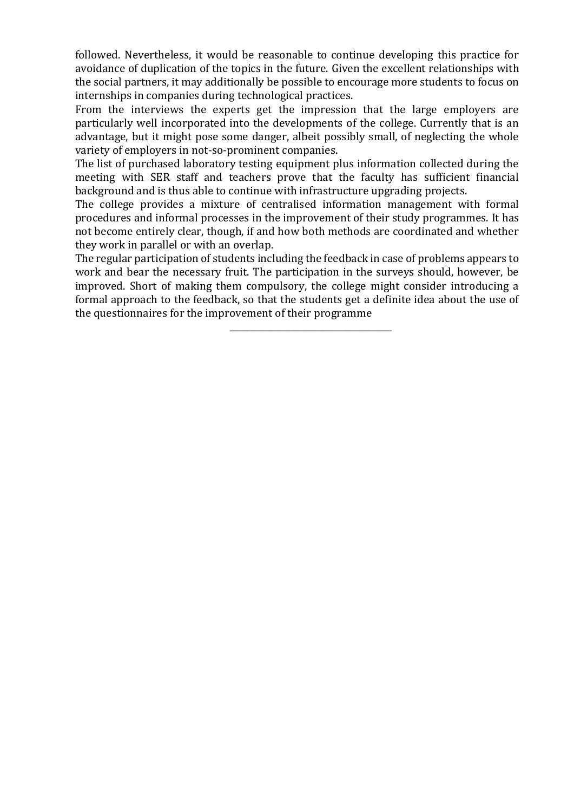followed. Nevertheless, it would be reasonable to continue developing this practice for avoidance of duplication of the topics in the future. Given the excellent relationships with the social partners, it may additionally be possible to encourage more students to focus on internships in companies during technological practices.

From the interviews the experts get the impression that the large employers are particularly well incorporated into the developments of the college. Currently that is an advantage, but it might pose some danger, albeit possibly small, of neglecting the whole variety of employers in not-so-prominent companies.

The list of purchased laboratory testing equipment plus information collected during the meeting with SER staff and teachers prove that the faculty has sufficient financial background and is thus able to continue with infrastructure upgrading projects.

The college provides a mixture of centralised information management with formal procedures and informal processes in the improvement of their study programmes. It has not become entirely clear, though, if and how both methods are coordinated and whether they work in parallel or with an overlap.

The regular participation of students including the feedback in case of problems appears to work and bear the necessary fruit. The participation in the surveys should, however, be improved. Short of making them compulsory, the college might consider introducing a formal approach to the feedback, so that the students get a definite idea about the use of the questionnaires for the improvement of their programme

\_\_\_\_\_\_\_\_\_\_\_\_\_\_\_\_\_\_\_\_\_\_\_\_\_\_\_\_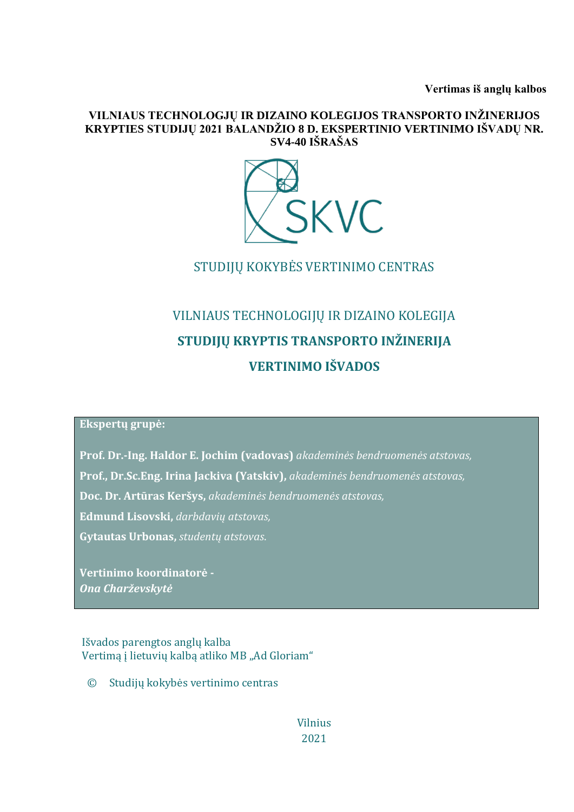**Vertimas iš anglų kalbos**

#### **VILNIAUS TECHNOLOGJŲ IR DIZAINO KOLEGIJOS TRANSPORTO INŽINERIJOS KRYPTIES STUDIJŲ 2021 BALANDŽIO 8 D. EKSPERTINIO VERTINIMO IŠVADŲ NR. SV4-40 IŠRAŠAS**



STUDIJŲ KOKYBĖS VERTINIMO CENTRAS

# VILNIAUS TECHNOLOGIJŲ IR DIZAINO KOLEGIJA **STUDIJŲ KRYPTIS TRANSPORTO INŽINERIJA VERTINIMO IŠVADOS**

### **Ekspertų grupė:**

**Prof. Dr.-Ing. Haldor E. Jochim (vadovas)** *akademinės bendruomenės atstovas,*

**Prof., Dr.Sc.Eng. Irina Jackiva (Yatskiv),** *akademinės bendruomenės atstovas,*

**Doc. Dr. Artūras Keršys,** *akademinės bendruomenės atstovas,*

**1. Edmund Lisovski,** *darbdavių atstovas,* 

**2. Gytautas Urbonas,** *studentų atstovas*.

**Vertinimo koordinatorė -** *Ona Charževskytė*

### Išvados parengtos anglų kalba Vertimą į lietuvių kalbą atliko MB "Ad Gloriam"

© Studijų kokybės vertinimo centras

Vilnius 2021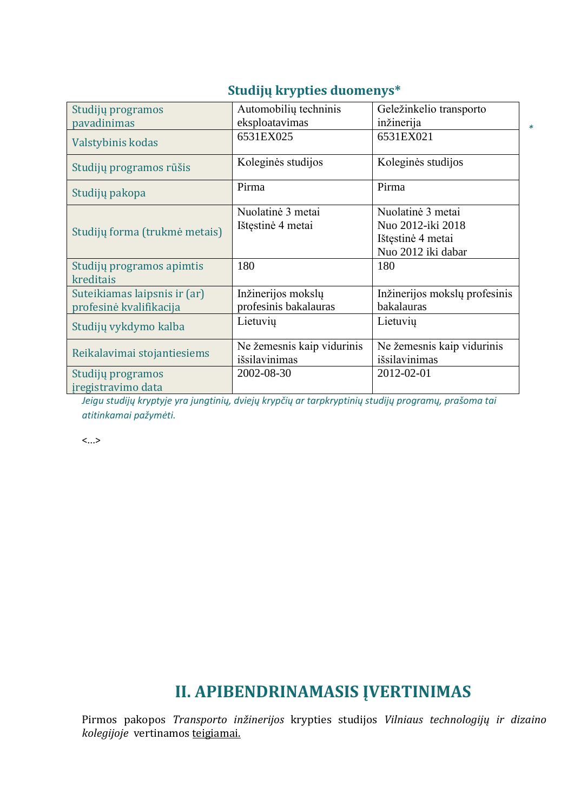| Studijų programos<br>pavadinimas                        | Automobilių techninis<br>eksploatavimas     | Geležinkelio transporto<br>inžinerija                                             |
|---------------------------------------------------------|---------------------------------------------|-----------------------------------------------------------------------------------|
| Valstybinis kodas                                       | 6531EX025                                   | 6531EX021                                                                         |
| Studijų programos rūšis                                 | Koleginės studijos                          | Koleginės studijos                                                                |
| Studijų pakopa                                          | Pirma                                       | Pirma                                                                             |
| Studijų forma (trukmė metais)                           | Nuolatinė 3 metai<br>Ištęstinė 4 metai      | Nuolatinė 3 metai<br>Nuo 2012-iki 2018<br>Ištęstinė 4 metai<br>Nuo 2012 iki dabar |
| Studijų programos apimtis<br>kreditais                  | 180                                         | 180                                                                               |
| Suteikiamas laipsnis ir (ar)<br>profesinė kvalifikacija | Inžinerijos mokslų<br>profesinis bakalauras | Inžinerijos mokslų profesinis<br>bakalauras                                       |
| Studijų vykdymo kalba                                   | Lietuvių                                    | Lietuvių                                                                          |
| Reikalavimai stojantiesiems                             | Ne žemesnis kaip vidurinis<br>išsilavinimas | Ne žemesnis kaip vidurinis<br>išsilavinimas                                       |
| Studijų programos<br>iregistravimo data                 | 2002-08-30                                  | 2012-02-01                                                                        |

### **Studijų krypties duomenys\***

*\** 

*Jeigu studijų kryptyje yra jungtinių, dviejų krypčių ar tarpkryptinių studijų programų, prašoma tai atitinkamai pažymėti.*

<...>

## **II. APIBENDRINAMASIS ĮVERTINIMAS**

Pirmos pakopos *Transporto inžinerijos* krypties studijos *Vilniaus technologijų ir dizaino kolegijoje* vertinamos teigiamai.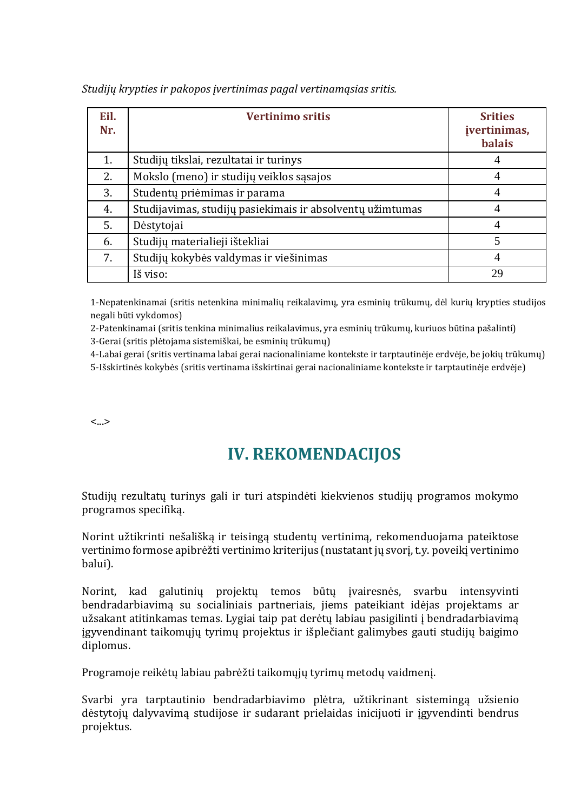| Eil.<br>Nr. | <b>Vertinimo sritis</b>                                   | <b>Srities</b><br>įvertinimas,<br><b>balais</b> |
|-------------|-----------------------------------------------------------|-------------------------------------------------|
| 1.          | Studijų tikslai, rezultatai ir turinys                    | 4                                               |
| 2.          | Mokslo (meno) ir studijų veiklos sąsajos                  | 4                                               |
| 3.          | Studentų priėmimas ir parama                              | 4                                               |
| 4.          | Studijavimas, studijų pasiekimais ir absolventų užimtumas | 4                                               |
| 5.          | Dėstytojai                                                | $\overline{A}$                                  |
| 6.          | Studijų materialieji ištekliai                            | 5                                               |
| 7.          | Studijų kokybės valdymas ir viešinimas                    | 4                                               |
|             | Iš viso:                                                  | 29                                              |

*Studijų krypties ir pakopos įvertinimas pagal vertinamąsias sritis.*

1-Nepatenkinamai (sritis netenkina minimalių reikalavimų, yra esminių trūkumų, dėl kurių krypties studijos negali būti vykdomos)

2-Patenkinamai (sritis tenkina minimalius reikalavimus, yra esminių trūkumų, kuriuos būtina pašalinti)

3-Gerai (sritis plėtojama sistemiškai, be esminių trūkumų)

4-Labai gerai (sritis vertinama labai gerai nacionaliniame kontekste ir tarptautinėje erdvėje, be jokių trūkumų)

5-Išskirtinės kokybės (sritis vertinama išskirtinai gerai nacionaliniame kontekste ir tarptautinėje erdvėje)

<...>

## **IV. REKOMENDACIJOS**

Studijų rezultatų turinys gali ir turi atspindėti kiekvienos studijų programos mokymo programos specifiką.

Norint užtikrinti nešališką ir teisingą studentų vertinimą, rekomenduojama pateiktose vertinimo formose apibrėžti vertinimo kriterijus (nustatant jų svorį, t.y. poveikį vertinimo balui).

Norint, kad galutinių projektų temos būtų įvairesnės, svarbu intensyvinti bendradarbiavimą su socialiniais partneriais, jiems pateikiant idėjas projektams ar užsakant atitinkamas temas. Lygiai taip pat derėtų labiau pasigilinti į bendradarbiavimą įgyvendinant taikomųjų tyrimų projektus ir išplečiant galimybes gauti studijų baigimo diplomus.

Programoje reikėtų labiau pabrėžti taikomųjų tyrimų metodų vaidmenį.

Svarbi yra tarptautinio bendradarbiavimo plėtra, užtikrinant sistemingą užsienio dėstytojų dalyvavimą studijose ir sudarant prielaidas inicijuoti ir įgyvendinti bendrus projektus.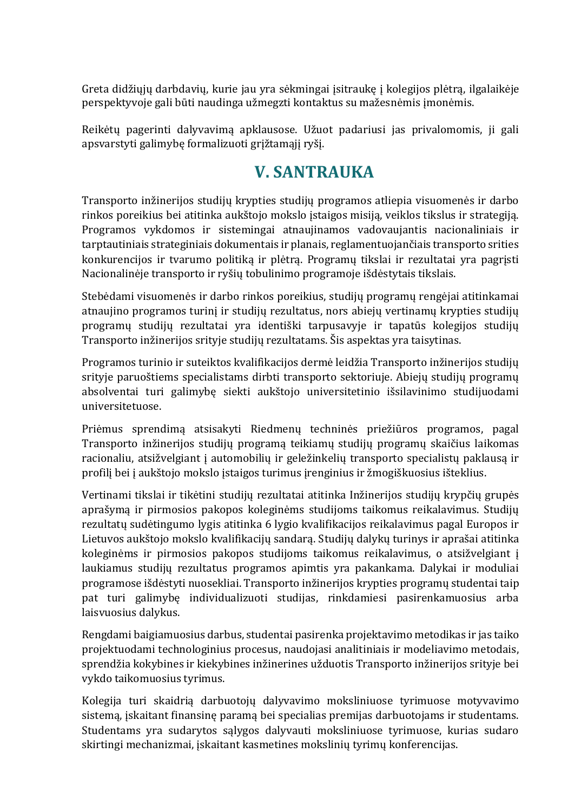Greta didžiųjų darbdavių, kurie jau yra sėkmingai įsitraukę į kolegijos plėtrą, ilgalaikėje perspektyvoje gali būti naudinga užmegzti kontaktus su mažesnėmis įmonėmis.

Reikėtų pagerinti dalyvavimą apklausose. Užuot padariusi jas privalomomis, ji gali apsvarstyti galimybę formalizuoti grįžtamąjį ryšį.

## **V. SANTRAUKA**

Transporto inžinerijos studijų krypties studijų programos atliepia visuomenės ir darbo rinkos poreikius bei atitinka aukštojo mokslo įstaigos misiją, veiklos tikslus ir strategiją. Programos vykdomos ir sistemingai atnaujinamos vadovaujantis nacionaliniais ir tarptautiniais strateginiais dokumentais ir planais, reglamentuojančiais transporto srities konkurencijos ir tvarumo politiką ir plėtrą. Programų tikslai ir rezultatai yra pagrįsti Nacionalinėje transporto ir ryšių tobulinimo programoje išdėstytais tikslais.

Stebėdami visuomenės ir darbo rinkos poreikius, studijų programų rengėjai atitinkamai atnaujino programos turinį ir studijų rezultatus, nors abiejų vertinamų krypties studijų programų studijų rezultatai yra identiški tarpusavyje ir tapatūs kolegijos studijų Transporto inžinerijos srityje studijų rezultatams. Šis aspektas yra taisytinas.

Programos turinio ir suteiktos kvalifikacijos dermė leidžia Transporto inžinerijos studijų srityje paruoštiems specialistams dirbti transporto sektoriuje. Abiejų studijų programų absolventai turi galimybę siekti aukštojo universitetinio išsilavinimo studijuodami universitetuose.

Priėmus sprendimą atsisakyti Riedmenų techninės priežiūros programos, pagal Transporto inžinerijos studijų programą teikiamų studijų programų skaičius laikomas racionaliu, atsižvelgiant į automobilių ir geležinkelių transporto specialistų paklausą ir profilį bei į aukštojo mokslo įstaigos turimus įrenginius ir žmogiškuosius išteklius.

Vertinami tikslai ir tikėtini studijų rezultatai atitinka Inžinerijos studijų krypčių grupės aprašymą ir pirmosios pakopos koleginėms studijoms taikomus reikalavimus. Studijų rezultatų sudėtingumo lygis atitinka 6 lygio kvalifikacijos reikalavimus pagal Europos ir Lietuvos aukštojo mokslo kvalifikacijų sandarą. Studijų dalykų turinys ir aprašai atitinka koleginėms ir pirmosios pakopos studijoms taikomus reikalavimus, o atsižvelgiant į laukiamus studijų rezultatus programos apimtis yra pakankama. Dalykai ir moduliai programose išdėstyti nuosekliai. Transporto inžinerijos krypties programų studentai taip pat turi galimybę individualizuoti studijas, rinkdamiesi pasirenkamuosius arba laisvuosius dalykus.

Rengdami baigiamuosius darbus, studentai pasirenka projektavimo metodikas ir jas taiko projektuodami technologinius procesus, naudojasi analitiniais ir modeliavimo metodais, sprendžia kokybines ir kiekybines inžinerines užduotis Transporto inžinerijos srityje bei vykdo taikomuosius tyrimus.

Kolegija turi skaidrią darbuotojų dalyvavimo moksliniuose tyrimuose motyvavimo sistemą, įskaitant finansinę paramą bei specialias premijas darbuotojams ir studentams. Studentams yra sudarytos sąlygos dalyvauti moksliniuose tyrimuose, kurias sudaro skirtingi mechanizmai, įskaitant kasmetines mokslinių tyrimų konferencijas.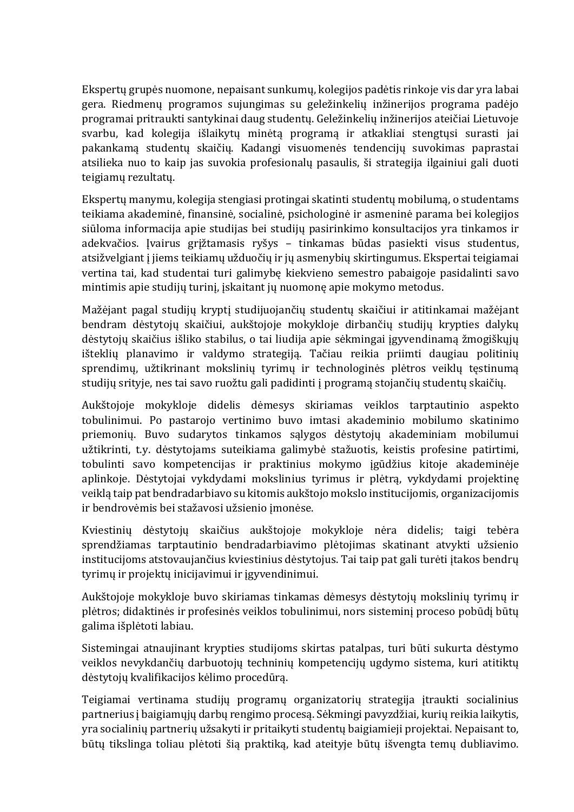Ekspertų grupės nuomone, nepaisant sunkumų, kolegijos padėtis rinkoje vis dar yra labai gera. Riedmenų programos sujungimas su geležinkelių inžinerijos programa padėjo programai pritraukti santykinai daug studentų. Geležinkelių inžinerijos ateičiai Lietuvoje svarbu, kad kolegija išlaikytų minėtą programą ir atkakliai stengtųsi surasti jai pakankamą studentų skaičių. Kadangi visuomenės tendencijų suvokimas paprastai atsilieka nuo to kaip jas suvokia profesionalų pasaulis, ši strategija ilgainiui gali duoti teigiamų rezultatų.

Ekspertų manymu, kolegija stengiasi protingai skatinti studentų mobilumą, o studentams teikiama akademinė, finansinė, socialinė, psichologinė ir asmeninė parama bei kolegijos siūloma informacija apie studijas bei studijų pasirinkimo konsultacijos yra tinkamos ir adekvačios. Įvairus grįžtamasis ryšys – tinkamas būdas pasiekti visus studentus, atsižvelgiant į jiems teikiamų užduočių ir jų asmenybių skirtingumus. Ekspertai teigiamai vertina tai, kad studentai turi galimybę kiekvieno semestro pabaigoje pasidalinti savo mintimis apie studijų turinį, įskaitant jų nuomonę apie mokymo metodus.

Mažėjant pagal studijų kryptį studijuojančių studentų skaičiui ir atitinkamai mažėjant bendram dėstytojų skaičiui, aukštojoje mokykloje dirbančių studijų krypties dalykų dėstytojų skaičius išliko stabilus, o tai liudija apie sėkmingai įgyvendinamą žmogiškųjų išteklių planavimo ir valdymo strategiją. Tačiau reikia priimti daugiau politinių sprendimų, užtikrinant mokslinių tyrimų ir technologinės plėtros veiklų tęstinumą studijų srityje, nes tai savo ruožtu gali padidinti į programą stojančių studentų skaičių.

Aukštojoje mokykloje didelis dėmesys skiriamas veiklos tarptautinio aspekto tobulinimui. Po pastarojo vertinimo buvo imtasi akademinio mobilumo skatinimo priemonių. Buvo sudarytos tinkamos sąlygos dėstytojų akademiniam mobilumui užtikrinti, t.y. dėstytojams suteikiama galimybė stažuotis, keistis profesine patirtimi, tobulinti savo kompetencijas ir praktinius mokymo įgūdžius kitoje akademinėje aplinkoje. Dėstytojai vykdydami mokslinius tyrimus ir plėtrą, vykdydami projektinę veiklą taip pat bendradarbiavo su kitomis aukštojo mokslo institucijomis, organizacijomis ir bendrovėmis bei stažavosi užsienio įmonėse.

Kviestinių dėstytojų skaičius aukštojoje mokykloje nėra didelis; taigi tebėra sprendžiamas tarptautinio bendradarbiavimo plėtojimas skatinant atvykti užsienio institucijoms atstovaujančius kviestinius dėstytojus. Tai taip pat gali turėti įtakos bendrų tyrimų ir projektų inicijavimui ir įgyvendinimui.

Aukštojoje mokykloje buvo skiriamas tinkamas dėmesys dėstytojų mokslinių tyrimų ir plėtros; didaktinės ir profesinės veiklos tobulinimui, nors sisteminį proceso pobūdį būtų galima išplėtoti labiau.

Sistemingai atnaujinant krypties studijoms skirtas patalpas, turi būti sukurta dėstymo veiklos nevykdančių darbuotojų techninių kompetencijų ugdymo sistema, kuri atitiktų dėstytojų kvalifikacijos kėlimo procedūrą.

Teigiamai vertinama studijų programų organizatorių strategija įtraukti socialinius partnerius į baigiamųjų darbų rengimo procesą. Sėkmingi pavyzdžiai, kurių reikia laikytis, yra socialinių partnerių užsakyti ir pritaikyti studentų baigiamieji projektai. Nepaisant to, būtų tikslinga toliau plėtoti šią praktiką, kad ateityje būtų išvengta temų dubliavimo.